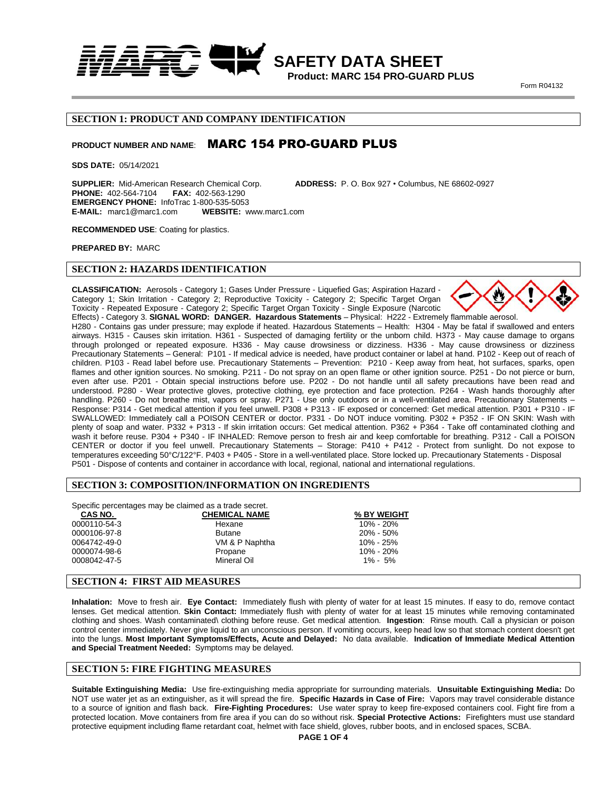

 **Product: MARC 154 PRO-GUARD PLUS Form R04132** 

## **SECTION 1: PRODUCT AND COMPANY IDENTIFICATION**

## PRODUCT NUMBER AND NAME: **MARC 154 PRO-GUARD PLUS**

**SDS DATE:** 05/14/2021

**SUPPLIER:** Mid-American Research Chemical Corp. **ADDRESS:** P. O. Box 927 • Columbus, NE 68602-0927 **PHONE: 402-564-7104 EMERGENCY PHONE:** InfoTrac 1-800-535-5053 **E-MAIL:** marc1@marc1.com **WEBSITE:** www.marc1.com

**RECOMMENDED USE**: Coating for plastics.

**PREPARED BY:** MARC

### **SECTION 2: HAZARDS IDENTIFICATION**

**CLASSIFICATION:** Aerosols - Category 1; Gases Under Pressure - Liquefied Gas; Aspiration Hazard - Category 1; Skin Irritation - Category 2; Reproductive Toxicity - Category 2; Specific Target Organ Toxicity - Repeated Exposure - Category 2; Specific Target Organ Toxicity - Single Exposure (Narcotic



Effects) - Category 3. **SIGNAL WORD: DANGER. Hazardous Statements** – Physical: H222 - Extremely flammable aerosol. H280 - Contains gas under pressure; may explode if heated. Hazardous Statements – Health: H304 - May be fatal if swallowed and enters airways. H315 - Causes skin irritation. H361 - Suspected of damaging fertility or the unborn child. H373 - May cause damage to organs through prolonged or repeated exposure. H336 - May cause drowsiness or dizziness. H336 - May cause drowsiness or dizziness Precautionary Statements – General: P101 - If medical advice is needed, have product container or label at hand. P102 - Keep out of reach of children. P103 - Read label before use. Precautionary Statements – Prevention: P210 - Keep away from heat, hot surfaces, sparks, open flames and other ignition sources. No smoking. P211 - Do not spray on an open flame or other ignition source. P251 - Do not pierce or burn, even after use. P201 - Obtain special instructions before use. P202 - Do not handle until all safety precautions have been read and understood. P280 - Wear protective gloves, protective clothing, eye protection and face protection. P264 - Wash hands thoroughly after handling. P260 - Do not breathe mist, vapors or spray. P271 - Use only outdoors or in a well-ventilated area. Precautionary Statements – Response: P314 - Get medical attention if you feel unwell. P308 + P313 - IF exposed or concerned: Get medical attention. P301 + P310 - IF SWALLOWED: Immediately call a POISON CENTER or doctor. P331 - Do NOT induce vomiting. P302 + P352 - IF ON SKIN: Wash with plenty of soap and water. P332 + P313 - If skin irritation occurs: Get medical attention. P362 + P364 - Take off contaminated clothing and wash it before reuse. P304 + P340 - IF INHALED: Remove person to fresh air and keep comfortable for breathing. P312 - Call a POISON CENTER or doctor if you feel unwell. Precautionary Statements – Storage: P410 + P412 - Protect from sunlight. Do not expose to temperatures exceeding 50°C/122°F. P403 + P405 - Store in a well-ventilated place. Store locked up. Precautionary Statements - Disposal P501 - Dispose of contents and container in accordance with local, regional, national and international regulations.

#### **SECTION 3: COMPOSITION/INFORMATION ON INGREDIENTS**

Specific percentages may be claimed as a trade secret.

| <b>CHEMICAL NAME</b> | % BY WEIGHT   |  |
|----------------------|---------------|--|
| Hexane               | 10% - 20%     |  |
| <b>Butane</b>        | 20% - 50%     |  |
| VM & P Naphtha       | 10% - 25%     |  |
| Propane              | $10\% - 20\%$ |  |
| Mineral Oil          | $1\% - 5\%$   |  |
|                      |               |  |

#### **SECTION 4: FIRST AID MEASURES**

**Inhalation:** Move to fresh air. **Eye Contact:** Immediately flush with plenty of water for at least 15 minutes. If easy to do, remove contact lenses. Get medical attention. **Skin Contact:** Immediately flush with plenty of water for at least 15 minutes while removing contaminated clothing and shoes. Wash contaminated\ clothing before reuse. Get medical attention. **Ingestion**: Rinse mouth. Call a physician or poison control center immediately. Never give liquid to an unconscious person. If vomiting occurs, keep head low so that stomach content doesn't get into the lungs. **Most Important Symptoms/Effects, Acute and Delayed:** No data available. **Indication of Immediate Medical Attention and Special Treatment Needed:** Symptoms may be delayed.

#### **SECTION 5: FIRE FIGHTING MEASURES**

**Suitable Extinguishing Media:** Use fire-extinguishing media appropriate for surrounding materials. **Unsuitable Extinguishing Media:** Do NOT use water jet as an extinguisher, as it will spread the fire. **Specific Hazards in Case of Fire:** Vapors may travel considerable distance to a source of ignition and flash back. **Fire-Fighting Procedures:** Use water spray to keep fire-exposed containers cool. Fight fire from a protected location. Move containers from fire area if you can do so without risk. **Special Protective Actions:** Firefighters must use standard protective equipment including flame retardant coat, helmet with face shield, gloves, rubber boots, and in enclosed spaces, SCBA.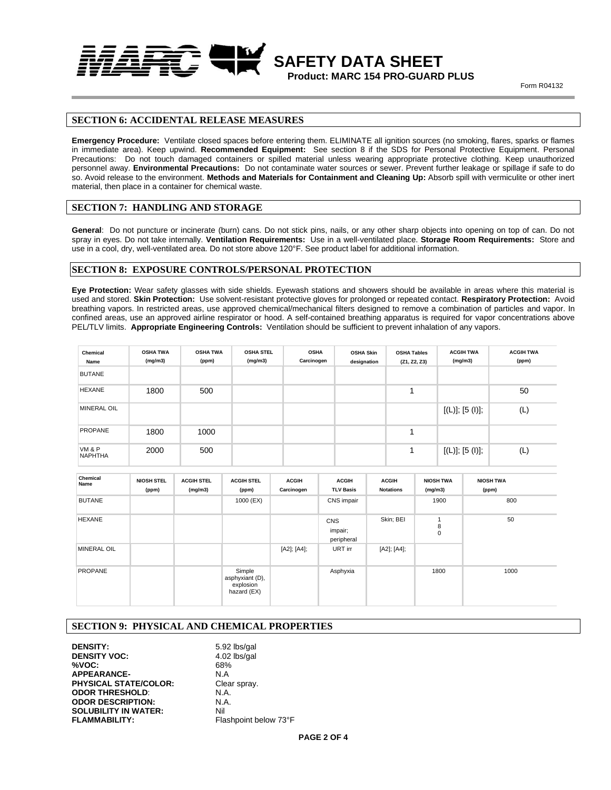

 **SAFETY DATA SHEET Product: MARC 154 PRO-GUARD PLUS**

**Form R04132** 

## **SECTION 6: ACCIDENTAL RELEASE MEASURES**

**Emergency Procedure:** Ventilate closed spaces before entering them. ELIMINATE all ignition sources (no smoking, flares, sparks or flames in immediate area). Keep upwind. **Recommended Equipment:** See section 8 if the SDS for Personal Protective Equipment. Personal Precautions: Do not touch damaged containers or spilled material unless wearing appropriate protective clothing. Keep unauthorized personnel away. **Environmental Precautions:** Do not contaminate water sources or sewer. Prevent further leakage or spillage if safe to do so. Avoid release to the environment. **Methods and Materials for Containment and Cleaning Up:** Absorb spill with vermiculite or other inert material, then place in a container for chemical waste.

### **SECTION 7: HANDLING AND STORAGE**

**General**: Do not puncture or incinerate (burn) cans. Do not stick pins, nails, or any other sharp objects into opening on top of can. Do not spray in eyes. Do not take internally. **Ventilation Requirements:** Use in a well-ventilated place. **Storage Room Requirements:** Store and use in a cool, dry, well-ventilated area. Do not store above 120°F. See product label for additional information.

### **SECTION 8: EXPOSURE CONTROLS/PERSONAL PROTECTION**

**Eye Protection:** Wear safety glasses with side shields. Eyewash stations and showers should be available in areas where this material is used and stored. **Skin Protection:** Use solvent-resistant protective gloves for prolonged or repeated contact. **Respiratory Protection:** Avoid breathing vapors. In restricted areas, use approved chemical/mechanical filters designed to remove a combination of particles and vapor. In confined areas, use an approved airline respirator or hood. A self-contained breathing apparatus is required for vapor concentrations above PEL/TLV limits. **Appropriate Engineering Controls:** Ventilation should be sufficient to prevent inhalation of any vapors.

| Chemical<br>Name         | <b>OSHA TWA</b><br>(mg/m3) | <b>OSHA TWA</b><br>(ppm) | <b>OSHA STEL</b><br>(mg/m3) | <b>OSHA</b><br>Carcinogen | <b>OSHA Skin</b><br>designation | <b>OSHA Tables</b><br>(Z1, Z2, Z3) | <b>ACGIH TWA</b><br>(mg/m3) | <b>ACGIH TWA</b><br>(ppm) |
|--------------------------|----------------------------|--------------------------|-----------------------------|---------------------------|---------------------------------|------------------------------------|-----------------------------|---------------------------|
| <b>BUTANE</b>            |                            |                          |                             |                           |                                 |                                    |                             |                           |
| <b>HEXANE</b>            | 1800                       | 500                      |                             |                           |                                 |                                    |                             | 50                        |
| <b>MINERAL OIL</b>       |                            |                          |                             |                           |                                 |                                    | [(L)]; [5 (l)];             | (L)                       |
| <b>PROPANE</b>           | 1800                       | 1000                     |                             |                           |                                 |                                    |                             |                           |
| VM & P<br><b>NAPHTHA</b> | 2000                       | 500                      |                             |                           |                                 | 1                                  | [(L)]; [5 (I)];             | (L)                       |

| Chemical<br>Name   | <b>NIOSH STEL</b><br>(ppm) | <b>ACGIH STEL</b><br>(mg/m3) | <b>ACGIH STEL</b><br>(ppm)                            | <b>ACGIH</b><br>Carcinogen | <b>ACGIH</b><br><b>TLV Basis</b>    | <b>ACGIH</b><br><b>Notations</b> | <b>NIOSH TWA</b><br>(mg/m3) | <b>NIOSH TWA</b><br>(ppm) |
|--------------------|----------------------------|------------------------------|-------------------------------------------------------|----------------------------|-------------------------------------|----------------------------------|-----------------------------|---------------------------|
| <b>BUTANE</b>      |                            |                              | 1000 (EX)                                             |                            | CNS impair                          |                                  | 1900                        | 800                       |
| <b>HEXANE</b>      |                            |                              |                                                       |                            | <b>CNS</b><br>impair;<br>peripheral | Skin; BEI                        | и<br>8<br>$\mathbf 0$       | 50                        |
| <b>MINERAL OIL</b> |                            |                              |                                                       | [A2]; [A4];                | URT irr                             | [A2]; [A4];                      |                             |                           |
| <b>PROPANE</b>     |                            |                              | Simple<br>asphyxiant (D),<br>explosion<br>hazard (EX) |                            | Asphyxia                            |                                  | 1800                        | 1000                      |

## **SECTION 9: PHYSICAL AND CHEMICAL PROPERTIES**

**DENSITY:** 5.92 lbs/gal **DENSITY VOC:** 4.02 lbs/gal **%VOC:** 68% **APPEARANCE-PHYSICAL STATE/COLOR:** Clear spray. **ODOR THRESHOLD:** N.A. **ODOR DESCRIPTION:** N.A. **ODOR DESCRIPTION: SOLUBILITY IN WATER:** Nil<br> **FLAMMABILITY:** FIB

Flashpoint below 73°F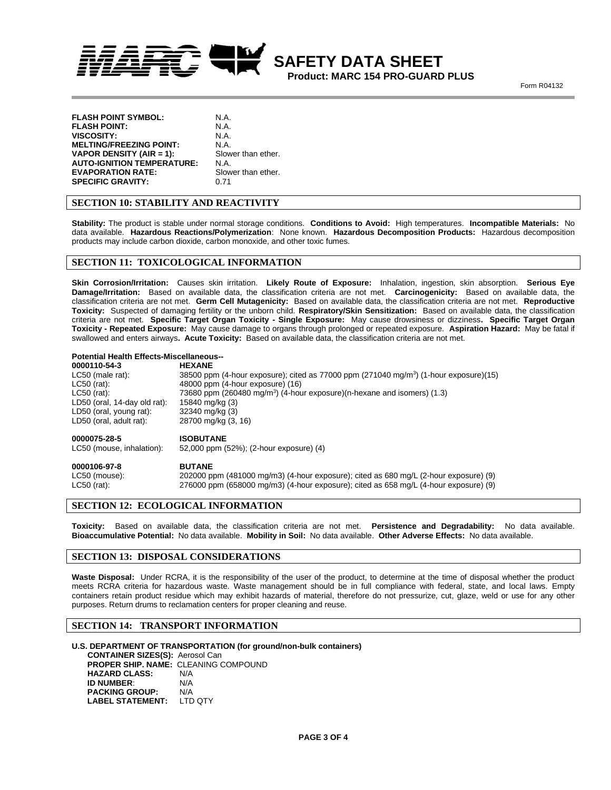

 **SAFETY DATA SHEET Product: MARC 154 PRO-GUARD PLUS**

**Form R04132** 

| <b>FLASH POINT SYMBOL:</b>      | N.A.               |
|---------------------------------|--------------------|
| FLASH POINT:                    | N.A.               |
| <b>VISCOSITY:</b>               | N.A.               |
| <b>MELTING/FREEZING POINT:</b>  | N.A.               |
| <b>VAPOR DENSITY (AIR = 1):</b> | Slower than ether. |
| AUTO-IGNITION TEMPERATURE:      | N.A.               |
| <b>EVAPORATION RATE:</b>        | Slower than ether. |
| <b>SPECIFIC GRAVITY:</b>        | 0.71               |

## **SECTION 10: STABILITY AND REACTIVITY**

**Stability:** The product is stable under normal storage conditions. **Conditions to Avoid:** High temperatures. **Incompatible Materials:** No data available. **Hazardous Reactions/Polymerization**: None known. **Hazardous Decomposition Products:** Hazardous decomposition products may include carbon dioxide, carbon monoxide, and other toxic fumes.

### **SECTION 11: TOXICOLOGICAL INFORMATION**

**Skin Corrosion/Irritation:** Causes skin irritation. **Likely Route of Exposure:** Inhalation, ingestion, skin absorption. **Serious Eye Damage/Irritation:** Based on available data, the classification criteria are not met. **Carcinogenicity:** Based on available data, the classification criteria are not met. **Germ Cell Mutagenicity:** Based on available data, the classification criteria are not met. **Reproductive Toxicity:** Suspected of damaging fertility or the unborn child. **Respiratory/Skin Sensitization:** Based on available data, the classification criteria are not met. **Specific Target Organ Toxicity - Single Exposure:** May cause drowsiness or dizziness**. Specific Target Organ Toxicity - Repeated Exposure:** May cause damage to organs through prolonged or repeated exposure. **Aspiration Hazard:** May be fatal if swallowed and enters airways**. Acute Toxicity:** Based on available data, the classification criteria are not met.

#### **Potential Health Effects-Miscellaneous--**

| <b>HEXANE</b>                                                                                     |
|---------------------------------------------------------------------------------------------------|
| 38500 ppm (4-hour exposure); cited as 77000 ppm (271040 mg/m <sup>3</sup> ) (1-hour exposure)(15) |
| 48000 ppm (4-hour exposure) (16)                                                                  |
| 73680 ppm (260480 mg/m <sup>3</sup> ) (4-hour exposure)(n-hexane and isomers) (1.3)               |
| 15840 mg/kg (3)                                                                                   |
| 32340 mg/kg (3)                                                                                   |
| 28700 mg/kg (3, 16)                                                                               |
| <b>ISOBUTANE</b>                                                                                  |
| 52,000 ppm (52%); (2-hour exposure) (4)                                                           |
|                                                                                                   |

### **0000106-97-8 BUTANE** LC50 (mouse): 202000 ppm (481000 mg/m3) (4-hour exposure); cited as 680 mg/L (2-hour exposure) (9) LC50 (rat): 276000 ppm (658000 mg/m3) (4-hour exposure); cited as 658 mg/L (4-hour exposure) (9)

## **SECTION 12: ECOLOGICAL INFORMATION**

**Toxicity:** Based on available data, the classification criteria are not met. **Persistence and Degradability:** No data available. **Bioaccumulative Potential:** No data available. **Mobility in Soil:** No data available. **Other Adverse Effects:** No data available.

## **SECTION 13: DISPOSAL CONSIDERATIONS**

Waste Disposal: Under RCRA, it is the responsibility of the user of the product, to determine at the time of disposal whether the product meets RCRA criteria for hazardous waste. Waste management should be in full compliance with federal, state, and local laws. Empty containers retain product residue which may exhibit hazards of material, therefore do not pressurize, cut, glaze, weld or use for any other purposes. Return drums to reclamation centers for proper cleaning and reuse.

### **SECTION 14: TRANSPORT INFORMATION**

#### **U.S. DEPARTMENT OF TRANSPORTATION (for ground/non-bulk containers)**

 **CONTAINER SIZES(S):** Aerosol Can **PROPER SHIP. NAME:** CLEANING COMPOUND **HAZARD CLASS:** N/A **ID NUMBER**: N/A **PACKING GROUP: N/A<br>LABEL STATEMENT: LTD QTY LABEL STATEMENT:**